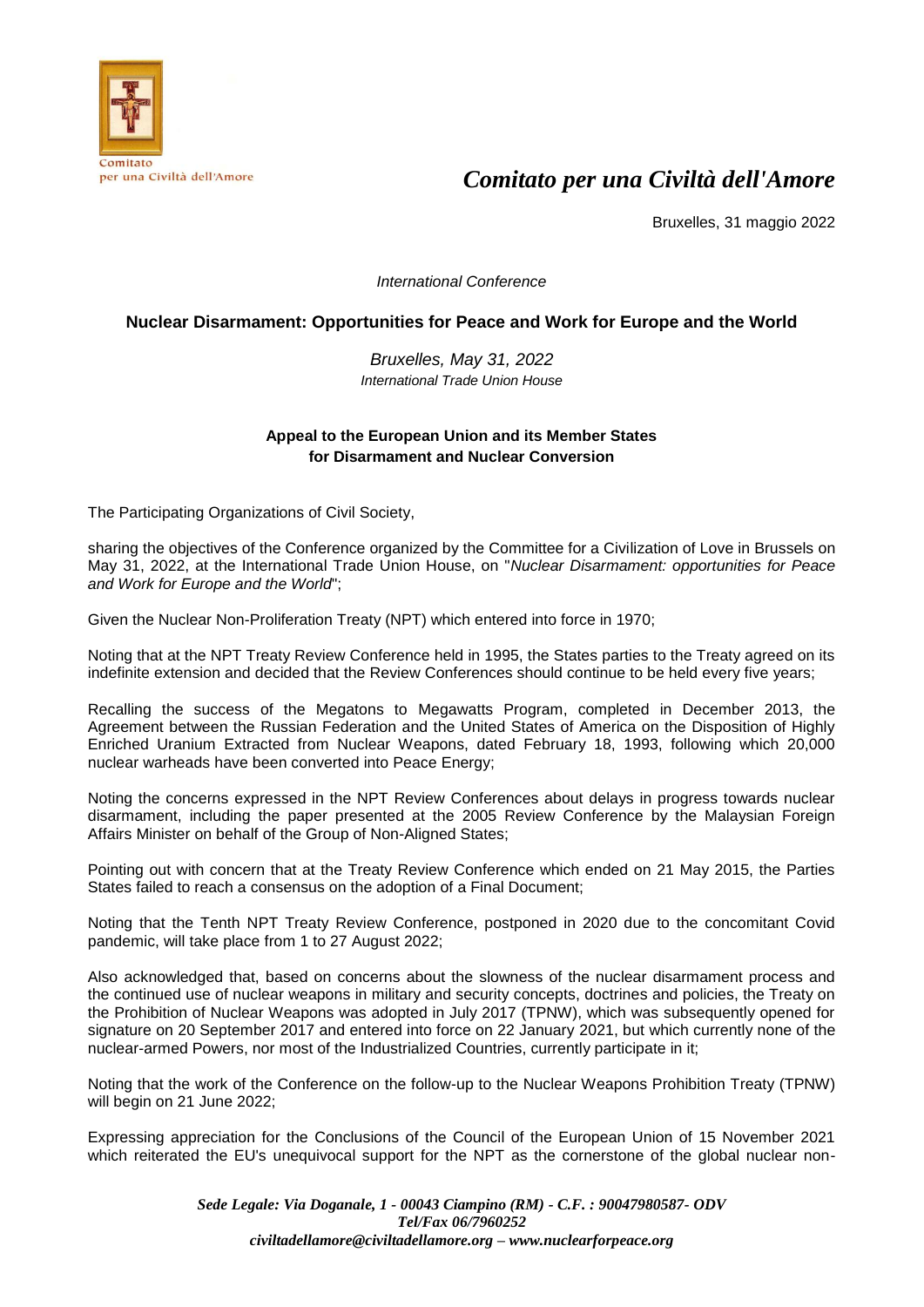

# *Comitato per una Civiltà dell'Amore*

Bruxelles, 31 maggio 2022

*International Conference*

### **Nuclear Disarmament: Opportunities for Peace and Work for Europe and the World**

*Bruxelles, May 31, 2022 International Trade Union House*

### **Appeal to the European Union and its Member States for Disarmament and Nuclear Conversion**

The Participating Organizations of Civil Society,

sharing the objectives of the Conference organized by the Committee for a Civilization of Love in Brussels on May 31, 2022, at the International Trade Union House, on "*Nuclear Disarmament: opportunities for Peace and Work for Europe and the World*";

Given the Nuclear Non-Proliferation Treaty (NPT) which entered into force in 1970;

Noting that at the NPT Treaty Review Conference held in 1995, the States parties to the Treaty agreed on its indefinite extension and decided that the Review Conferences should continue to be held every five years;

Recalling the success of the Megatons to Megawatts Program, completed in December 2013, the Agreement between the Russian Federation and the United States of America on the Disposition of Highly Enriched Uranium Extracted from Nuclear Weapons, dated February 18, 1993, following which 20,000 nuclear warheads have been converted into Peace Energy;

Noting the concerns expressed in the NPT Review Conferences about delays in progress towards nuclear disarmament, including the paper presented at the 2005 Review Conference by the Malaysian Foreign Affairs Minister on behalf of the Group of Non-Aligned States;

Pointing out with concern that at the Treaty Review Conference which ended on 21 May 2015, the Parties States failed to reach a consensus on the adoption of a Final Document;

Noting that the Tenth NPT Treaty Review Conference, postponed in 2020 due to the concomitant Covid pandemic, will take place from 1 to 27 August 2022;

Also acknowledged that, based on concerns about the slowness of the nuclear disarmament process and the continued use of nuclear weapons in military and security concepts, doctrines and policies, the Treaty on the Prohibition of Nuclear Weapons was adopted in July 2017 (TPNW), which was subsequently opened for signature on 20 September 2017 and entered into force on 22 January 2021, but which currently none of the nuclear-armed Powers, nor most of the Industrialized Countries, currently participate in it;

Noting that the work of the Conference on the follow-up to the Nuclear Weapons Prohibition Treaty (TPNW) will begin on 21 June 2022;

Expressing appreciation for the Conclusions of the Council of the European Union of 15 November 2021 which reiterated the EU's unequivocal support for the NPT as the cornerstone of the global nuclear non-

> *Sede Legale: Via Doganale, 1 - 00043 Ciampino (RM) - C.F. : 90047980587- ODV Tel/Fax 06/7960252 civiltadellamore@civiltadellamore.org – www.nuclearforpeace.org*